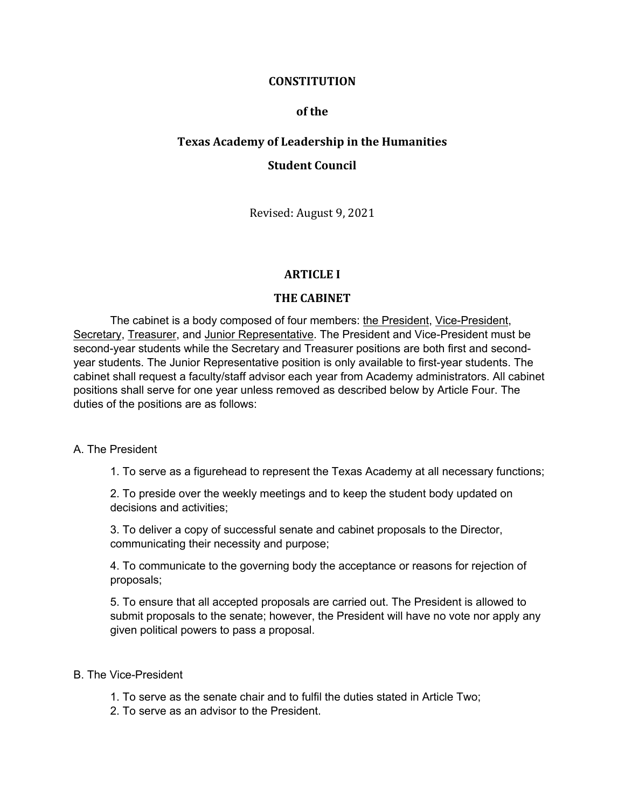### **CONSTITUTION**

### **of the**

# **Texas Academy of Leadership in the Humanities Student Council**

Revised: August 9, 2021

## **ARTICLE I**

### **THE CABINET**

The cabinet is a body composed of four members: the President, Vice-President, Secretary, Treasurer, and Junior Representative. The President and Vice-President must be second-year students while the Secretary and Treasurer positions are both first and secondyear students. The Junior Representative position is only available to first-year students. The cabinet shall request a faculty/staff advisor each year from Academy administrators. All cabinet positions shall serve for one year unless removed as described below by Article Four. The duties of the positions are as follows:

### A. The President

1. To serve as a figurehead to represent the Texas Academy at all necessary functions;

2. To preside over the weekly meetings and to keep the student body updated on decisions and activities;

3. To deliver a copy of successful senate and cabinet proposals to the Director, communicating their necessity and purpose;

4. To communicate to the governing body the acceptance or reasons for rejection of proposals;

5. To ensure that all accepted proposals are carried out. The President is allowed to submit proposals to the senate; however, the President will have no vote nor apply any given political powers to pass a proposal.

### B. The Vice-President

- 1. To serve as the senate chair and to fulfil the duties stated in Article Two;
- 2. To serve as an advisor to the President.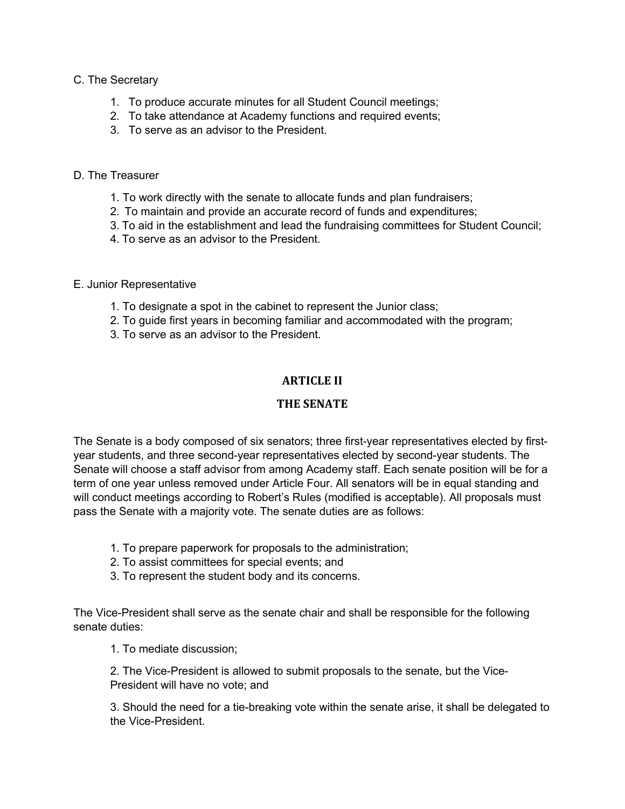### C. The Secretary

- 1. To produce accurate minutes for all Student Council meetings;
- 2. To take attendance at Academy functions and required events;
- 3. To serve as an advisor to the President.

### D. The Treasurer

- 1. To work directly with the senate to allocate funds and plan fundraisers;
- 2. To maintain and provide an accurate record of funds and expenditures;
- 3. To aid in the establishment and lead the fundraising committees for Student Council;
- 4. To serve as an advisor to the President.

### E. Junior Representative

- 1. To designate a spot in the cabinet to represent the Junior class;
- 2. To guide first years in becoming familiar and accommodated with the program;
- 3. To serve as an advisor to the President.

# **ARTICLE II**

# **THE SENATE**

The Senate is a body composed of six senators; three first-year representatives elected by firstyear students, and three second-year representatives elected by second-year students. The Senate will choose a staff advisor from among Academy staff. Each senate position will be for a term of one year unless removed under Article Four. All senators will be in equal standing and will conduct meetings according to Robert's Rules (modified is acceptable). All proposals must pass the Senate with a majority vote. The senate duties are as follows:

- 1. To prepare paperwork for proposals to the administration;
- 2. To assist committees for special events; and
- 3. To represent the student body and its concerns.

The Vice-President shall serve as the senate chair and shall be responsible for the following senate duties:

1. To mediate discussion;

2. The Vice-President is allowed to submit proposals to the senate, but the Vice-President will have no vote; and

3. Should the need for a tie-breaking vote within the senate arise, it shall be delegated to the Vice-President.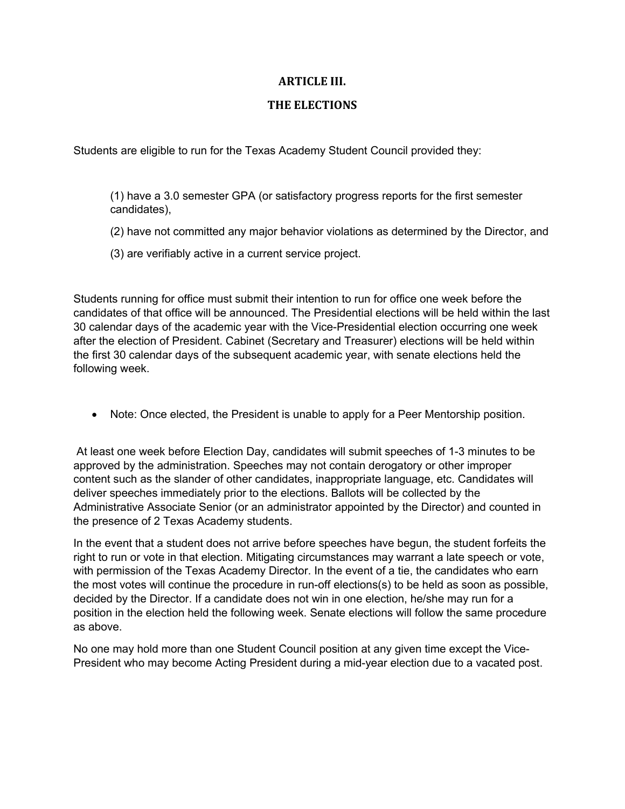### **ARTICLE III.**

### **THE ELECTIONS**

Students are eligible to run for the Texas Academy Student Council provided they:

(1) have a 3.0 semester GPA (or satisfactory progress reports for the first semester candidates),

- (2) have not committed any major behavior violations as determined by the Director, and
- (3) are verifiably active in a current service project.

Students running for office must submit their intention to run for office one week before the candidates of that office will be announced. The Presidential elections will be held within the last 30 calendar days of the academic year with the Vice-Presidential election occurring one week after the election of President. Cabinet (Secretary and Treasurer) elections will be held within the first 30 calendar days of the subsequent academic year, with senate elections held the following week.

• Note: Once elected, the President is unable to apply for a Peer Mentorship position.

At least one week before Election Day, candidates will submit speeches of 1-3 minutes to be approved by the administration. Speeches may not contain derogatory or other improper content such as the slander of other candidates, inappropriate language, etc. Candidates will deliver speeches immediately prior to the elections. Ballots will be collected by the Administrative Associate Senior (or an administrator appointed by the Director) and counted in the presence of 2 Texas Academy students.

In the event that a student does not arrive before speeches have begun, the student forfeits the right to run or vote in that election. Mitigating circumstances may warrant a late speech or vote, with permission of the Texas Academy Director. In the event of a tie, the candidates who earn the most votes will continue the procedure in run-off elections(s) to be held as soon as possible, decided by the Director. If a candidate does not win in one election, he/she may run for a position in the election held the following week. Senate elections will follow the same procedure as above.

No one may hold more than one Student Council position at any given time except the Vice-President who may become Acting President during a mid-year election due to a vacated post.